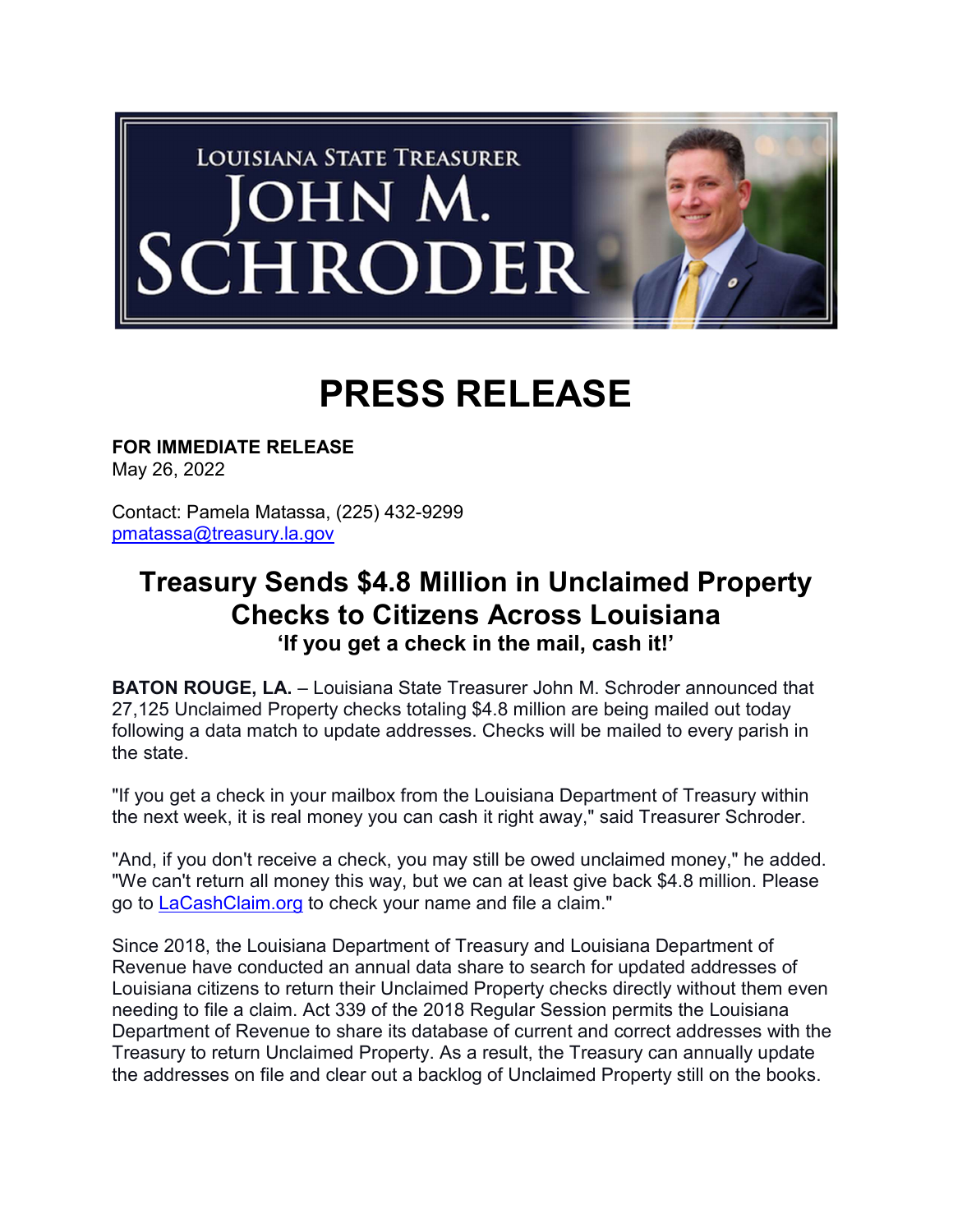

## PRESS RELEASE

FOR IMMEDIATE RELEASE May 26, 2022

Contact: Pamela Matassa, (225) 432-9299 pmatassa@treasury.la.gov

## Treasury Sends \$4.8 Million in Unclaimed Property Checks to Citizens Across Louisiana 'If you get a check in the mail, cash it!'

BATON ROUGE, LA. – Louisiana State Treasurer John M. Schroder announced that 27,125 Unclaimed Property checks totaling \$4.8 million are being mailed out today following a data match to update addresses. Checks will be mailed to every parish in the state.

"If you get a check in your mailbox from the Louisiana Department of Treasury within the next week, it is real money you can cash it right away," said Treasurer Schroder.

"And, if you don't receive a check, you may still be owed unclaimed money," he added. "We can't return all money this way, but we can at least give back \$4.8 million. Please go to LaCashClaim.org to check your name and file a claim."

Since 2018, the Louisiana Department of Treasury and Louisiana Department of Revenue have conducted an annual data share to search for updated addresses of Louisiana citizens to return their Unclaimed Property checks directly without them even needing to file a claim. Act 339 of the 2018 Regular Session permits the Louisiana Department of Revenue to share its database of current and correct addresses with the Treasury to return Unclaimed Property. As a result, the Treasury can annually update the addresses on file and clear out a backlog of Unclaimed Property still on the books.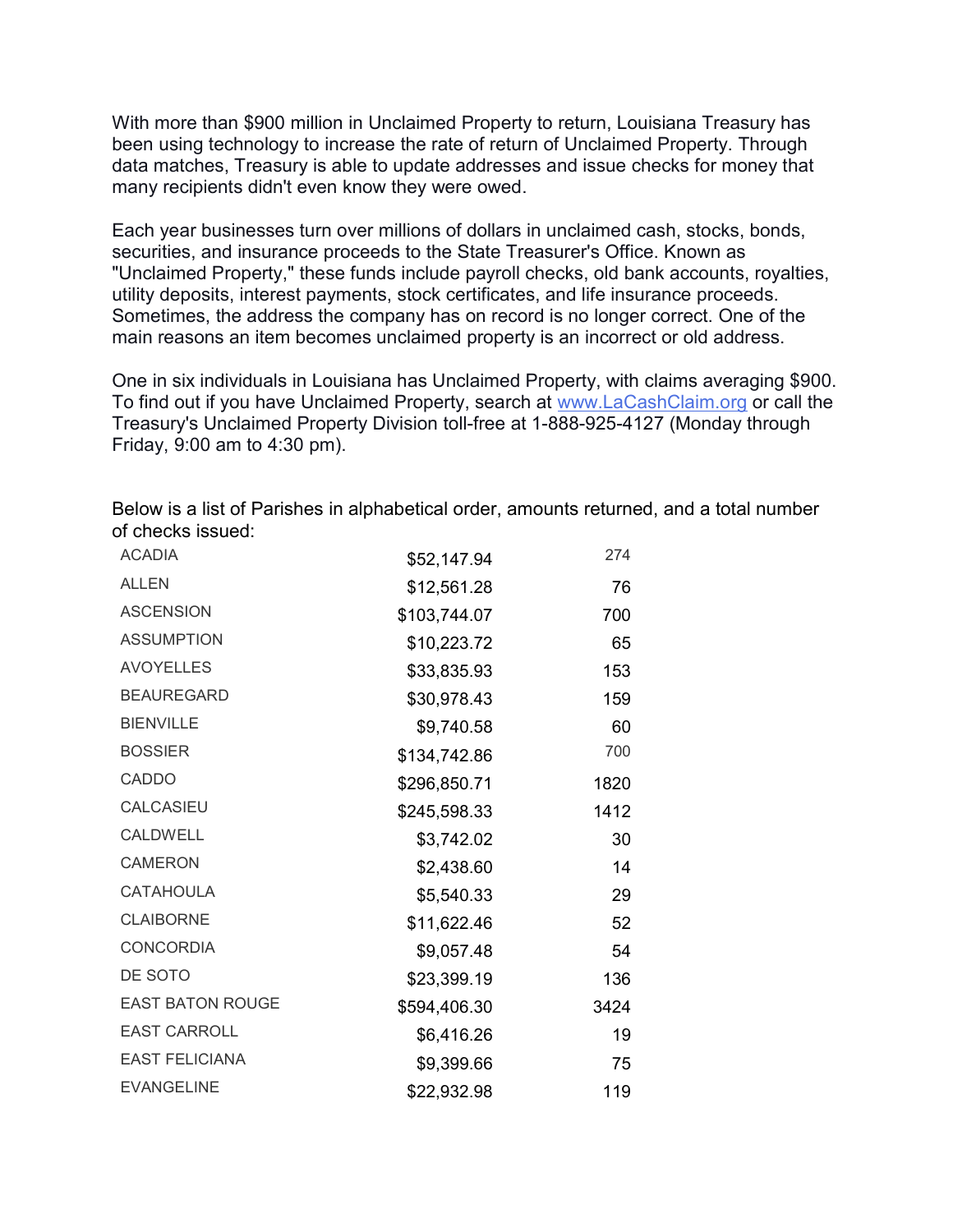With more than \$900 million in Unclaimed Property to return, Louisiana Treasury has been using technology to increase the rate of return of Unclaimed Property. Through data matches, Treasury is able to update addresses and issue checks for money that many recipients didn't even know they were owed.

Each year businesses turn over millions of dollars in unclaimed cash, stocks, bonds, securities, and insurance proceeds to the State Treasurer's Office. Known as "Unclaimed Property," these funds include payroll checks, old bank accounts, royalties, utility deposits, interest payments, stock certificates, and life insurance proceeds. Sometimes, the address the company has on record is no longer correct. One of the main reasons an item becomes unclaimed property is an incorrect or old address.

One in six individuals in Louisiana has Unclaimed Property, with claims averaging \$900. To find out if you have Unclaimed Property, search at www.LaCashClaim.org or call the Treasury's Unclaimed Property Division toll-free at 1-888-925-4127 (Monday through Friday, 9:00 am to 4:30 pm).

Below is a list of Parishes in alphabetical order, amounts returned, and a total number of checks issued:

| <b>ACADIA</b>           | \$52,147.94  | 274  |
|-------------------------|--------------|------|
| <b>ALLEN</b>            | \$12,561.28  | 76   |
| <b>ASCENSION</b>        | \$103,744.07 | 700  |
| <b>ASSUMPTION</b>       | \$10,223.72  | 65   |
| <b>AVOYELLES</b>        | \$33,835.93  | 153  |
| <b>BEAUREGARD</b>       | \$30,978.43  | 159  |
| <b>BIENVILLE</b>        | \$9,740.58   | 60   |
| <b>BOSSIER</b>          | \$134,742.86 | 700  |
| CADDO                   | \$296,850.71 | 1820 |
| <b>CALCASIEU</b>        | \$245,598.33 | 1412 |
| <b>CALDWELL</b>         | \$3,742.02   | 30   |
| <b>CAMERON</b>          | \$2,438.60   | 14   |
| <b>CATAHOULA</b>        | \$5,540.33   | 29   |
| <b>CLAIBORNE</b>        | \$11,622.46  | 52   |
| <b>CONCORDIA</b>        | \$9,057.48   | 54   |
| DE SOTO                 | \$23,399.19  | 136  |
| <b>EAST BATON ROUGE</b> | \$594,406.30 | 3424 |
| <b>EAST CARROLL</b>     | \$6,416.26   | 19   |
| <b>EAST FELICIANA</b>   | \$9,399.66   | 75   |
| <b>EVANGELINE</b>       | \$22,932.98  | 119  |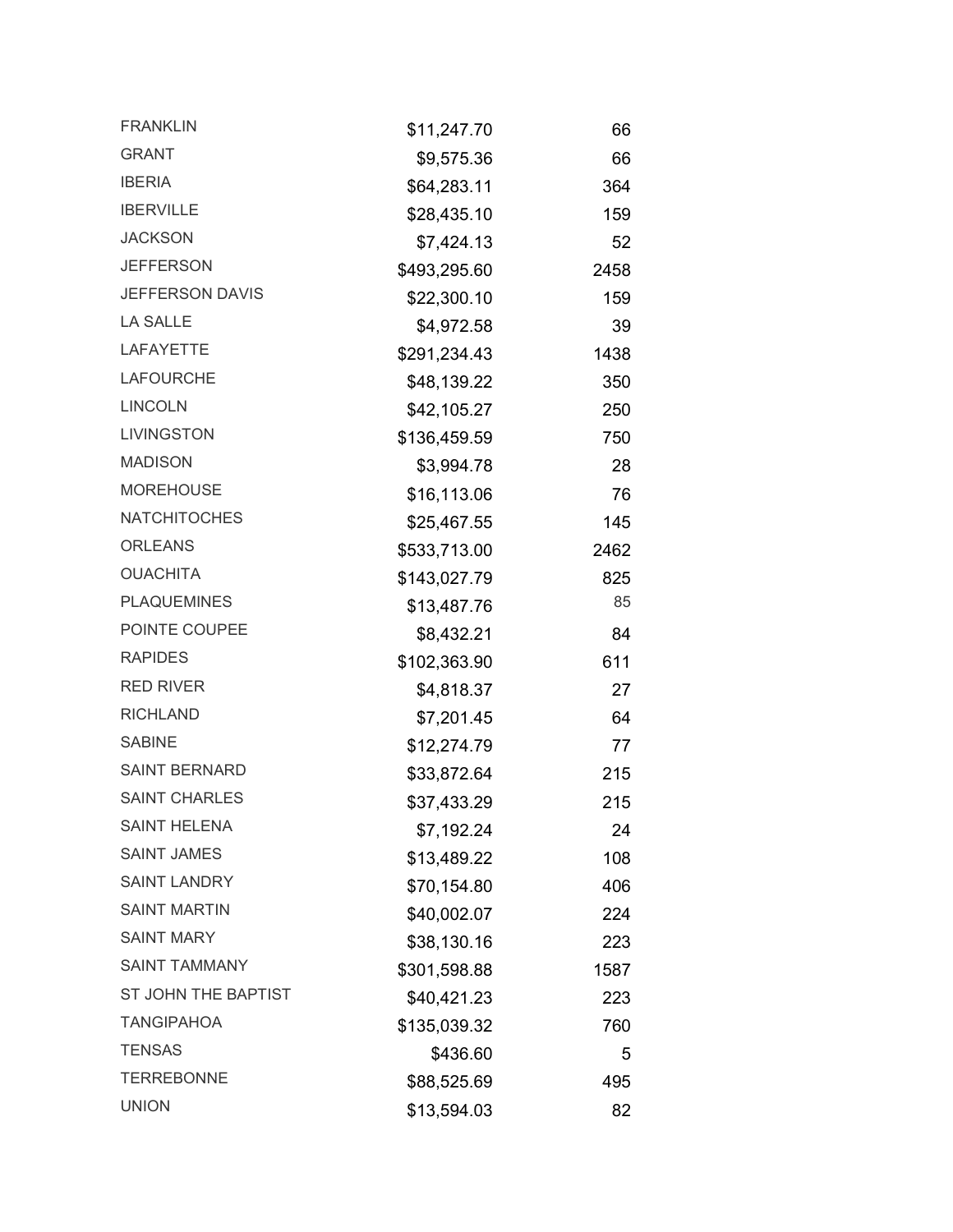| <b>FRANKLIN</b>        | \$11,247.70  | 66   |
|------------------------|--------------|------|
| <b>GRANT</b>           | \$9,575.36   | 66   |
| <b>IBERIA</b>          | \$64,283.11  | 364  |
| <b>IBERVILLE</b>       | \$28,435.10  | 159  |
| <b>JACKSON</b>         | \$7,424.13   | 52   |
| <b>JEFFERSON</b>       | \$493,295.60 | 2458 |
| <b>JEFFERSON DAVIS</b> | \$22,300.10  | 159  |
| <b>LA SALLE</b>        | \$4,972.58   | 39   |
| <b>LAFAYETTE</b>       | \$291,234.43 | 1438 |
| <b>LAFOURCHE</b>       | \$48,139.22  | 350  |
| <b>LINCOLN</b>         | \$42,105.27  | 250  |
| <b>LIVINGSTON</b>      | \$136,459.59 | 750  |
| <b>MADISON</b>         | \$3,994.78   | 28   |
| <b>MOREHOUSE</b>       | \$16,113.06  | 76   |
| <b>NATCHITOCHES</b>    | \$25,467.55  | 145  |
| <b>ORLEANS</b>         | \$533,713.00 | 2462 |
| <b>OUACHITA</b>        | \$143,027.79 | 825  |
| <b>PLAQUEMINES</b>     | \$13,487.76  | 85   |
| POINTE COUPEE          | \$8,432.21   | 84   |
| <b>RAPIDES</b>         | \$102,363.90 | 611  |
| <b>RED RIVER</b>       | \$4,818.37   | 27   |
| <b>RICHLAND</b>        | \$7,201.45   | 64   |
| <b>SABINE</b>          | \$12,274.79  | 77   |
| <b>SAINT BERNARD</b>   | \$33,872.64  | 215  |
| <b>SAINT CHARLES</b>   | \$37,433.29  | 215  |
| <b>SAINT HELENA</b>    | \$7,192.24   | 24   |
| <b>SAINT JAMES</b>     | \$13,489.22  | 108  |
| <b>SAINT LANDRY</b>    | \$70,154.80  | 406  |
| <b>SAINT MARTIN</b>    | \$40,002.07  | 224  |
| <b>SAINT MARY</b>      | \$38,130.16  | 223  |
| <b>SAINT TAMMANY</b>   | \$301,598.88 | 1587 |
| ST JOHN THE BAPTIST    | \$40,421.23  | 223  |
| <b>TANGIPAHOA</b>      | \$135,039.32 | 760  |
| <b>TENSAS</b>          | \$436.60     | 5    |
| <b>TERREBONNE</b>      | \$88,525.69  | 495  |
| <b>UNION</b>           | \$13,594.03  | 82   |